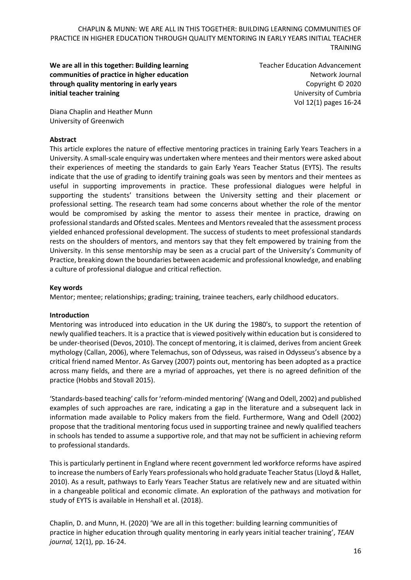**We are all in this together: Building learning communities of practice in higher education through quality mentoring in early years initial teacher training**

Teacher Education Advancement Network Journal Copyright © 2020 University of Cumbria Vol 12(1) pages 16-24

Diana Chaplin and Heather Munn University of Greenwich

### **Abstract**

This article explores the nature of effective mentoring practices in training Early Years Teachers in a University. A small-scale enquiry was undertaken where mentees and their mentors were asked about their experiences of meeting the standards to gain Early Years Teacher Status (EYTS). The results indicate that the use of grading to identify training goals was seen by mentors and their mentees as useful in supporting improvements in practice. These professional dialogues were helpful in supporting the students' transitions between the University setting and their placement or professional setting. The research team had some concerns about whether the role of the mentor would be compromised by asking the mentor to assess their mentee in practice, drawing on professional standards and Ofsted scales. Mentees and Mentors revealed that the assessment process yielded enhanced professional development. The success of students to meet professional standards rests on the shoulders of mentors, and mentors say that they felt empowered by training from the University. In this sense mentorship may be seen as a crucial part of the University's Community of Practice, breaking down the boundaries between academic and professional knowledge, and enabling a culture of professional dialogue and critical reflection.

### **Key words**

Mentor; mentee; relationships; grading; training, trainee teachers, early childhood educators.

### **Introduction**

Mentoring was introduced into education in the UK during the 1980's, to support the retention of newly qualified teachers. It is a practice that is viewed positively within education but is considered to be under-theorised (Devos, 2010). The concept of mentoring, it is claimed, derives from ancient Greek mythology (Callan, 2006), where Telemachus, son of Odysseus, was raised in Odysseus's absence by a critical friend named Mentor. As Garvey (2007) points out, mentoring has been adopted as a practice across many fields, and there are a myriad of approaches, yet there is no agreed definition of the practice (Hobbs and Stovall 2015).

'Standards-based teaching' calls for 'reform-minded mentoring' (Wang and Odell, 2002) and published examples of such approaches are rare, indicating a gap in the literature and a subsequent lack in information made available to Policy makers from the field. Furthermore, Wang and Odell (2002) propose that the traditional mentoring focus used in supporting trainee and newly qualified teachers in schools has tended to assume a supportive role, and that may not be sufficient in achieving reform to professional standards.

This is particularly pertinent in England where recent government led workforce reforms have aspired to increase the numbers of Early Years professionals who hold graduate Teacher Status (Lloyd & Hallet, 2010). As a result, pathways to Early Years Teacher Status are relatively new and are situated within in a changeable political and economic climate. An exploration of the pathways and motivation for study of EYTS is available in Henshall et al. (2018).

Chaplin, D. and Munn, H. (2020) 'We are all in this together: building learning communities of practice in higher education through quality mentoring in early years initial teacher training', *TEAN journal,* 12(1), pp. 16-24.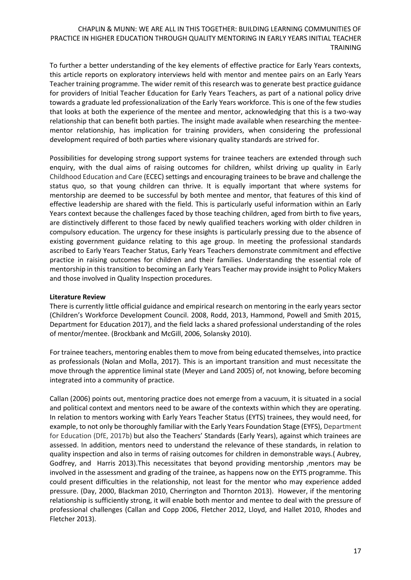To further a better understanding of the key elements of effective practice for Early Years contexts, this article reports on exploratory interviews held with mentor and mentee pairs on an Early Years Teacher training programme. The wider remit of this research was to generate best practice guidance for providers of Initial Teacher Education for Early Years Teachers, as part of a national policy drive towards a graduate led professionalization of the Early Years workforce. This is one of the few studies that looks at both the experience of the mentee and mentor, acknowledging that this is a two-way relationship that can benefit both parties. The insight made available when researching the menteementor relationship, has implication for training providers, when considering the professional development required of both parties where visionary quality standards are strived for.

Possibilities for developing strong support systems for trainee teachers are extended through such enquiry, with the dual aims of raising outcomes for children, whilst driving up quality in Early Childhood Education and Care (ECEC) settings and encouraging trainees to be brave and challenge the status quo, so that young children can thrive. It is equally important that where systems for mentorship are deemed to be successful by both mentee and mentor, that features of this kind of effective leadership are shared with the field. This is particularly useful information within an Early Years context because the challenges faced by those teaching children, aged from birth to five years, are distinctively different to those faced by newly qualified teachers working with older children in compulsory education. The urgency for these insights is particularly pressing due to the absence of existing government guidance relating to this age group. In meeting the professional standards ascribed to Early Years Teacher Status, Early Years Teachers demonstrate commitment and effective practice in raising outcomes for children and their families. Understanding the essential role of mentorship in this transition to becoming an Early Years Teacher may provide insight to Policy Makers and those involved in Quality Inspection procedures.

### **Literature Review**

There is currently little official guidance and empirical research on mentoring in the early years sector (Children's Workforce Development Council. 2008, Rodd, 2013, Hammond, Powell and Smith 2015, Department for Education 2017), and the field lacks a shared professional understanding of the roles of mentor/mentee. (Brockbank and McGill, 2006, Solansky 2010).

For trainee teachers, mentoring enables them to move from being educated themselves, into practice as professionals (Nolan and Molla, 2017). This is an important transition and must necessitate the move through the apprentice liminal state (Meyer and Land 2005) of, not knowing, before becoming integrated into a community of practice.

Callan (2006) points out, mentoring practice does not emerge from a vacuum, it is situated in a social and political context and mentors need to be aware of the contexts within which they are operating. In relation to mentors working with Early Years Teacher Status (EYTS) trainees, they would need, for example, to not only be thoroughly familiar with the Early Years Foundation Stage (EYFS), Department for Education (DfE, 2017b) but also the Teachers' Standards (Early Years), against which trainees are assessed. In addition, mentors need to understand the relevance of these standards, in relation to quality inspection and also in terms of raising outcomes for children in demonstrable ways.( Aubrey, Godfrey, and Harris 2013).This necessitates that beyond providing mentorship ,mentors may be involved in the assessment and grading of the trainee, as happens now on the EYTS programme. This could present difficulties in the relationship, not least for the mentor who may experience added pressure. (Day, 2000, Blackman 2010, Cherrington and Thornton 2013). However, if the mentoring relationship is sufficiently strong, it will enable both mentor and mentee to deal with the pressure of professional challenges (Callan and Copp 2006, Fletcher 2012, Lloyd, and Hallet 2010, Rhodes and Fletcher 2013).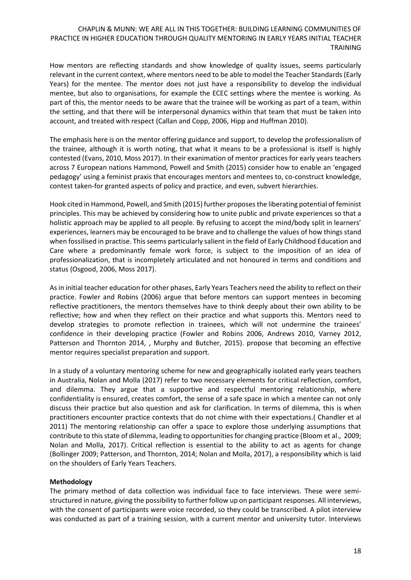How mentors are reflecting standards and show knowledge of quality issues, seems particularly relevant in the current context, where mentors need to be able to model the Teacher Standards (Early Years) for the mentee. The mentor does not just have a responsibility to develop the individual mentee, but also to organisations, for example the ECEC settings where the mentee is working. As part of this, the mentor needs to be aware that the trainee will be working as part of a team, within the setting, and that there will be interpersonal dynamics within that team that must be taken into account, and treated with respect (Callan and Copp, 2006, Hipp and Huffman 2010).

The emphasis here is on the mentor offering guidance and support, to develop the professionalism of the trainee, although it is worth noting, that what it means to be a professional is itself is highly contested (Evans, 2010, Moss 2017). In their exanimation of mentor practices for early years teachers across 7 European nations Hammond, Powell and Smith (2015) consider how to enable an 'engaged pedagogy' using a feminist praxis that encourages mentors and mentees to, co-construct knowledge, contest taken-for granted aspects of policy and practice, and even, subvert hierarchies.

Hook cited in Hammond, Powell, and Smith (2015) further proposes the liberating potential of feminist principles. This may be achieved by considering how to unite public and private experiences so that a holistic approach may be applied to all people. By refusing to accept the mind/body split in learners' experiences, learners may be encouraged to be brave and to challenge the values of how things stand when fossilised in practise. This seems particularly salient in the field of Early Childhood Education and Care where a predominantly female work force, is subject to the imposition of an idea of professionalization, that is incompletely articulated and not honoured in terms and conditions and status (Osgood, 2006, Moss 2017).

As in initial teacher education for other phases, Early Years Teachers need the ability to reflect on their practice. Fowler and Robins (2006) argue that before mentors can support mentees in becoming reflective practitioners, the mentors themselves have to think deeply about their own ability to be reflective; how and when they reflect on their practice and what supports this. Mentors need to develop strategies to promote reflection in trainees, which will not undermine the trainees' confidence in their developing practice (Fowler and Robins 2006, Andrews 2010, Varney 2012, Patterson and Thornton 2014, , Murphy and Butcher, 2015). propose that becoming an effective mentor requires specialist preparation and support.

In a study of a voluntary mentoring scheme for new and geographically isolated early years teachers in Australia, Nolan and Molla (2017) refer to two necessary elements for critical reflection, comfort, and dilemma. They argue that a supportive and respectful mentoring relationship, where confidentiality is ensured, creates comfort, the sense of a safe space in which a mentee can not only discuss their practice but also question and ask for clarification. In terms of dilemma, this is when practitioners encounter practice contexts that do not chime with their expectations.( Chandler et al 2011) The mentoring relationship can offer a space to explore those underlying assumptions that contribute to this state of dilemma, leading to opportunities for changing practice (Bloom et al., 2009; Nolan and Molla, 2017). Critical reflection is essential to the ability to act as agents for change (Bollinger 2009; Patterson, and Thornton, 2014; Nolan and Molla, 2017), a responsibility which is laid on the shoulders of Early Years Teachers.

### **Methodology**

The primary method of data collection was individual face to face interviews. These were semistructured in nature, giving the possibility to further follow up on participant responses. All interviews, with the consent of participants were voice recorded, so they could be transcribed. A pilot interview was conducted as part of a training session, with a current mentor and university tutor. Interviews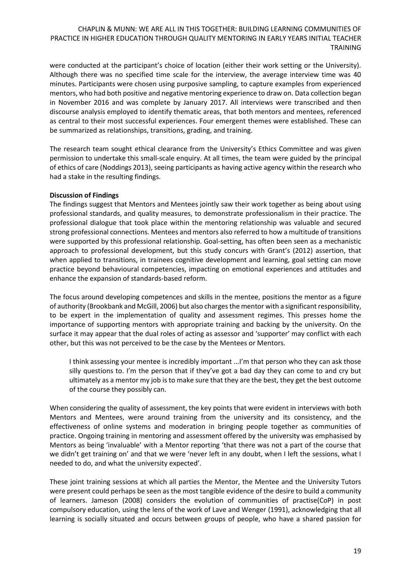were conducted at the participant's choice of location (either their work setting or the University). Although there was no specified time scale for the interview, the average interview time was 40 minutes. Participants were chosen using purposive sampling, to capture examples from experienced mentors, who had both positive and negative mentoring experience to draw on. Data collection began in November 2016 and was complete by January 2017. All interviews were transcribed and then discourse analysis employed to identify thematic areas, that both mentors and mentees, referenced as central to their most successful experiences. Four emergent themes were established. These can be summarized as relationships, transitions, grading, and training.

The research team sought ethical clearance from the University's Ethics Committee and was given permission to undertake this small-scale enquiry. At all times, the team were guided by the principal of ethics of care (Noddings 2013), seeing participants as having active agency within the research who had a stake in the resulting findings.

### **Discussion of Findings**

The findings suggest that Mentors and Mentees jointly saw their work together as being about using professional standards, and quality measures, to demonstrate professionalism in their practice. The professional dialogue that took place within the mentoring relationship was valuable and secured strong professional connections. Mentees and mentors also referred to how a multitude of transitions were supported by this professional relationship. Goal-setting, has often been seen as a mechanistic approach to professional development, but this study concurs with Grant's (2012) assertion, that when applied to transitions, in trainees cognitive development and learning, goal setting can move practice beyond behavioural competencies, impacting on emotional experiences and attitudes and enhance the expansion of standards-based reform.

The focus around developing competences and skills in the mentee, positions the mentor as a figure of authority (Brookbank and McGill, 2006) but also charges the mentor with a significant responsibility, to be expert in the implementation of quality and assessment regimes. This presses home the importance of supporting mentors with appropriate training and backing by the university. On the surface it may appear that the dual roles of acting as assessor and 'supporter' may conflict with each other, but this was not perceived to be the case by the Mentees or Mentors.

I think assessing your mentee is incredibly important ...I'm that person who they can ask those silly questions to. I'm the person that if they've got a bad day they can come to and cry but ultimately as a mentor my job is to make sure that they are the best, they get the best outcome of the course they possibly can.

When considering the quality of assessment, the key points that were evident in interviews with both Mentors and Mentees, were around training from the university and its consistency, and the effectiveness of online systems and moderation in bringing people together as communities of practice. Ongoing training in mentoring and assessment offered by the university was emphasised by Mentors as being 'invaluable' with a Mentor reporting 'that there was not a part of the course that we didn't get training on' and that we were 'never left in any doubt, when I left the sessions, what I needed to do, and what the university expected'.

These joint training sessions at which all parties the Mentor, the Mentee and the University Tutors were present could perhaps be seen as the most tangible evidence of the desire to build a community of learners. Jameson (2008) considers the evolution of communities of practise(CoP) in post compulsory education, using the lens of the work of Lave and Wenger (1991), acknowledging that all learning is socially situated and occurs between groups of people, who have a shared passion for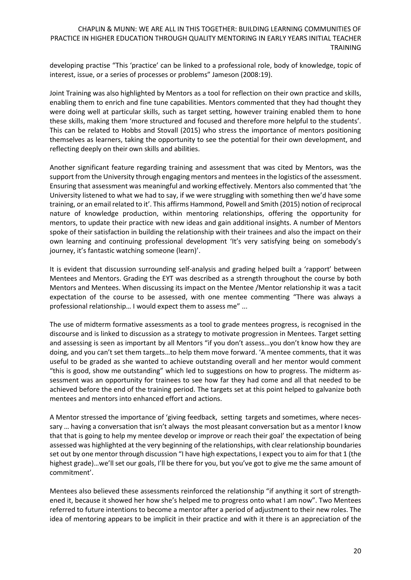developing practise "This 'practice' can be linked to a professional role, body of knowledge, topic of interest, issue, or a series of processes or problems" Jameson (2008:19).

Joint Training was also highlighted by Mentors as a tool for reflection on their own practice and skills, enabling them to enrich and fine tune capabilities. Mentors commented that they had thought they were doing well at particular skills, such as target setting, however training enabled them to hone these skills, making them 'more structured and focused and therefore more helpful to the students'. This can be related to Hobbs and Stovall (2015) who stress the importance of mentors positioning themselves as learners, taking the opportunity to see the potential for their own development, and reflecting deeply on their own skills and abilities.

Another significant feature regarding training and assessment that was cited by Mentors, was the support from the University through engaging mentors and mentees in the logistics of the assessment. Ensuring that assessment was meaningful and working effectively. Mentors also commented that 'the University listened to what we had to say, if we were struggling with something then we'd have some training, or an email related to it'. This affirms Hammond, Powell and Smith (2015) notion of reciprocal nature of knowledge production, within mentoring relationships, offering the opportunity for mentors, to update their practice with new ideas and gain additional insights. A number of Mentors spoke of their satisfaction in building the relationship with their trainees and also the impact on their own learning and continuing professional development 'It's very satisfying being on somebody's journey, it's fantastic watching someone (learn)'.

It is evident that discussion surrounding self-analysis and grading helped built a 'rapport' between Mentees and Mentors. Grading the EYT was described as a strength throughout the course by both Mentors and Mentees. When discussing its impact on the Mentee /Mentor relationship it was a tacit expectation of the course to be assessed, with one mentee commenting "There was always a professional relationship… I would expect them to assess me" ...

The use of midterm formative assessments as a tool to grade mentees progress, is recognised in the discourse and is linked to discussion as a strategy to motivate progression in Mentees. Target setting and assessing is seen as important by all Mentors "if you don't assess…you don't know how they are doing, and you can't set them targets…to help them move forward. 'A mentee comments, that it was useful to be graded as she wanted to achieve outstanding overall and her mentor would comment "this is good, show me outstanding" which led to suggestions on how to progress. The midterm assessment was an opportunity for trainees to see how far they had come and all that needed to be achieved before the end of the training period. The targets set at this point helped to galvanize both mentees and mentors into enhanced effort and actions.

A Mentor stressed the importance of 'giving feedback, setting targets and sometimes, where necessary … having a conversation that isn't always the most pleasant conversation but as a mentor I know that that is going to help my mentee develop or improve or reach their goal' the expectation of being assessed was highlighted at the very beginning of the relationships, with clear relationship boundaries set out by one mentor through discussion "I have high expectations, I expect you to aim for that 1 (the highest grade)…we'll set our goals, I'll be there for you, but you've got to give me the same amount of commitment'.

Mentees also believed these assessments reinforced the relationship "if anything it sort of strengthened it, because it showed her how she's helped me to progress onto what I am now". Two Mentees referred to future intentions to become a mentor after a period of adjustment to their new roles. The idea of mentoring appears to be implicit in their practice and with it there is an appreciation of the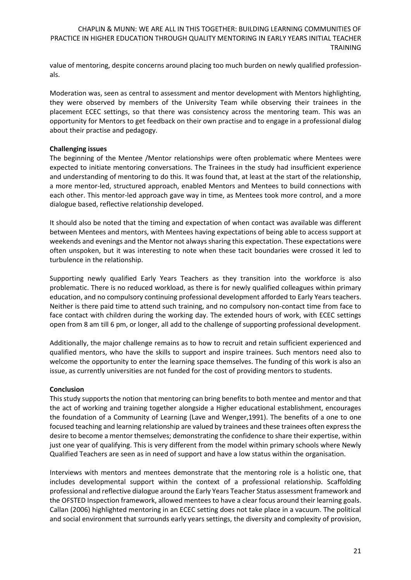value of mentoring, despite concerns around placing too much burden on newly qualified professionals.

Moderation was, seen as central to assessment and mentor development with Mentors highlighting, they were observed by members of the University Team while observing their trainees in the placement ECEC settings, so that there was consistency across the mentoring team. This was an opportunity for Mentors to get feedback on their own practise and to engage in a professional dialog about their practise and pedagogy.

### **Challenging issues**

The beginning of the Mentee /Mentor relationships were often problematic where Mentees were expected to initiate mentoring conversations. The Trainees in the study had insufficient experience and understanding of mentoring to do this. It was found that, at least at the start of the relationship, a more mentor-led, structured approach, enabled Mentors and Mentees to build connections with each other. This mentor-led approach gave way in time, as Mentees took more control, and a more dialogue based, reflective relationship developed.

It should also be noted that the timing and expectation of when contact was available was different between Mentees and mentors, with Mentees having expectations of being able to access support at weekends and evenings and the Mentor not always sharing this expectation. These expectations were often unspoken, but it was interesting to note when these tacit boundaries were crossed it led to turbulence in the relationship.

Supporting newly qualified Early Years Teachers as they transition into the workforce is also problematic. There is no reduced workload, as there is for newly qualified colleagues within primary education, and no compulsory continuing professional development afforded to Early Years teachers. Neither is there paid time to attend such training, and no compulsory non-contact time from face to face contact with children during the working day. The extended hours of work, with ECEC settings open from 8 am till 6 pm, or longer, all add to the challenge of supporting professional development.

Additionally, the major challenge remains as to how to recruit and retain sufficient experienced and qualified mentors, who have the skills to support and inspire trainees. Such mentors need also to welcome the opportunity to enter the learning space themselves. The funding of this work is also an issue, as currently universities are not funded for the cost of providing mentors to students.

# **Conclusion**

This study supports the notion that mentoring can bring benefits to both mentee and mentor and that the act of working and training together alongside a Higher educational establishment, encourages the foundation of a Community of Learning (Lave and Wenger,1991). The benefits of a one to one focused teaching and learning relationship are valued by trainees and these trainees often express the desire to become a mentor themselves; demonstrating the confidence to share their expertise, within just one year of qualifying. This is very different from the model within primary schools where Newly Qualified Teachers are seen as in need of support and have a low status within the organisation.

Interviews with mentors and mentees demonstrate that the mentoring role is a holistic one, that includes developmental support within the context of a professional relationship. Scaffolding professional and reflective dialogue around the Early Years Teacher Status assessment framework and the OFSTED Inspection framework, allowed mentees to have a clear focus around their learning goals. Callan (2006) highlighted mentoring in an ECEC setting does not take place in a vacuum. The political and social environment that surrounds early years settings, the diversity and complexity of provision,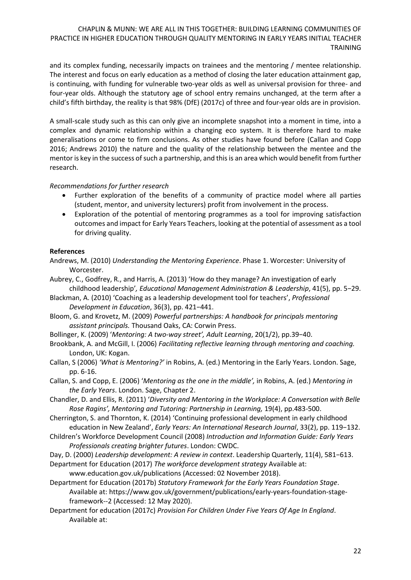and its complex funding, necessarily impacts on trainees and the mentoring / mentee relationship. The interest and focus on early education as a method of closing the later education attainment gap, is continuing, with funding for vulnerable two-year olds as well as universal provision for three- and four-year olds. Although the statutory age of school entry remains unchanged, at the term after a child's fifth birthday, the reality is that 98% (DfE) (2017c) of three and four-year olds are in provision.

A small-scale study such as this can only give an incomplete snapshot into a moment in time, into a complex and dynamic relationship within a changing eco system. It is therefore hard to make generalisations or come to firm conclusions. As other studies have found before (Callan and Copp 2016; Andrews 2010) the nature and the quality of the relationship between the mentee and the mentor is key in the success of such a partnership, and this is an area which would benefit from further research.

# *Recommendations for further research*

- Further exploration of the benefits of a community of practice model where all parties (student, mentor, and university lecturers) profit from involvement in the process.
- Exploration of the potential of mentoring programmes as a tool for improving satisfaction outcomes and impact for Early Years Teachers, looking at the potential of assessment as a tool for driving quality.

### **References**

- Andrews, M. (2010) *Understanding the Mentoring Experience*. Phase 1. Worcester: University of Worcester.
- Aubrey, C., Godfrey, R., and Harris, A. (2013) 'How do they manage? An investigation of early childhood leadership'*, Educational Management Administration & Leadership*, 41(5), pp. 5−29.
- Blackman, A. (2010) 'Coaching as a leadership development tool for teachers', *Professional Development in Education*, 36(3), pp. 421−441.
- Bloom, G. and Krovetz, M. (2009) *Powerful partnerships: A handbook for principals mentoring assistant principals.* Thousand Oaks, CA: Corwin Press.
- Bollinger, K. (2009) '*Mentoring: A two-way street', Adult Learning*, 20(1/2), pp.39−40.
- Brookbank, A. and McGill, I. (2006) *Facilitating reflective learning through mentoring and coaching.*  London, UK: Kogan.
- Callan, S (2006) *'What is Mentoring?'* in Robins, A. (ed.) Mentoring in the Early Years. London. Sage, pp. 6-16.
- Callan, S. and Copp, E. (2006) '*Mentoring as the one in the middle',* in Robins, A. (ed.) *Mentoring in the Early Years*. London. Sage, Chapter 2.
- Chandler, D. and Ellis, R. (2011) '*Diversity and Mentoring in the Workplace: A Conversation with Belle Rose Ragins', Mentoring and Tutoring: Partnership in Learning,* 19(4), pp.483-500.
- Cherrington, S. and Thornton, K. (2014) 'Continuing professional development in early childhood education in New Zealand', *Early Years: An International Research Journal*, 33(2), pp. 119−132.
- Children's Workforce Development Council (2008) *Introduction and Information Guide: Early Years Professionals creating brighter futures*. London: CWDC.
- Day, D. (2000) *Leadership development: A review in context*. Leadership Quarterly, 11(4), 581−613.
- Department for Education (2017) *The workforce development strategy* Available at:

[www.education.gov.uk/publications](http://www.education.gov.uk/publications) (Accessed: 02 November 2018).

- Department for Education (2017b) *Statutory Framework for the Early Years Foundation Stage*. Available at: [https://www.gov.uk/government/publications/early-years-foundation-stage](https://www.gov.uk/government/publications/early-years-foundation-stage-framework--2)[framework--2](https://www.gov.uk/government/publications/early-years-foundation-stage-framework--2) (Accessed: 12 May 2020).
- Department for education (2017c) *Provision For Children Under Five Years Of Age In England*. Available at: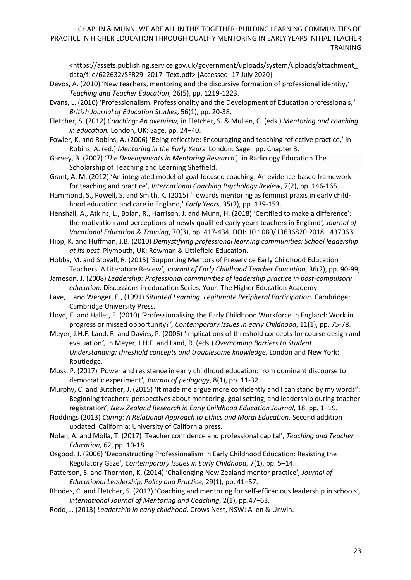[<https://assets.publishing.service.gov.uk/government/uploads/system/uploads/attachment\\_](https://protect-eu.mimecast.com/s/dAJQCjZlXTlMLpqHW4qI7?domain=assets.publishing.service.gov.uk) [data/file/622632/SFR29\\_2017\\_Text.pdf>](https://protect-eu.mimecast.com/s/dAJQCjZlXTlMLpqHW4qI7?domain=assets.publishing.service.gov.uk) [Accessed: 17 July 2020].

- Devos, A. (2010) 'New teachers, mentoring and the discursive formation of professional identity,*' Teaching and Teacher Education*, 26(5), pp. 1219-1223.
- Evans, L. (2010) 'Professionalism. Professionality and the Development of Education professionals*,' British Journal of Education Studies*, 56(1), pp. 20-38.
- Fletcher, S. (2012) *Coaching: An overview,* in Fletcher, S. & Mullen, C. (eds.) *Mentoring and coaching in education.* London, UK: Sage. pp. 24−40.
- Fowler, K. and Robins, A. (2006) 'Being reflective: Encouraging and teaching reflective practice,' in Robins, A. (ed.) *Mentoring in the Early Years*. London: Sage. pp. Chapter 3.
- Garvey, B. (2007) '*The Developments in Mentoring Research',* in Radiology Education The Scholarship of Teaching and Learning Sheffield.
- Grant, A. M. (2012) 'An integrated model of goal-focused coaching: An evidence-based framework for teaching and practice'*, International Coaching Psychology Review*, 7(2), pp. 146-165.
- Hammond, S., Powell, S. and Smith, K. (2015) 'Towards mentoring as feminist praxis in early childhood education and care in England,' *Early Years*, 35(2), pp. 139-153.
- Henshall, A., Atkins, L., Bolan, R., Harrison, J. and Munn, H. (2018) 'Certified to make a difference': the motivation and perceptions of newly qualified early years teachers in England*', Journal of Vocational Education & Training*, 70(3), pp. 417-434, DOI[: 10.1080/13636820.2018.1437063](https://doi.org/10.1080/13636820.2018.1437063)
- Hipp, K. and Huffman, J.B. (2010) *Demystifying professional learning communities: School leadership at its best.* Plymouth, UK: Rowman & Littlefield Education.
- Hobbs, M. and Stovall, R. (2015) 'Supporting Mentors of Preservice Early Childhood Education Teachers: A Literature Review', *Journal of Early Childhood Teacher Education*, 36(2), pp. 90-99,
- Jameson, J. (2008) *Leadership: Professional communities of leadership practice in post-compulsory education.* Discussions in education Series. Your: The Higher Education Academy.
- Lave, J. and Wenger, E., (1991) *Situated Learning. Legitimate Peripheral Participation.* Cambridge: Cambridge University Press.
- Lloyd, E. and Hallet, E. (2010) *'*Professionalising the Early Childhood Workforce in England: Work in progress or missed opportunity?*', Contemporary Issues in early Childhood*, 11(1), pp. 75-78.
- Meyer, J.H.F. Land, R. and Davies, P. (2006) 'Implications of threshold concepts for course design and evaluation*',* in Meyer, J.H.F. and Land, R. (eds.) *Overcoming Barriers to Student Understanding: threshold concepts and troublesome knowledge.* London and New York: Routledge.
- Moss, P. (2017) 'Power and resistance in early childhood education: from dominant discourse to democratic experiment'*, Journal of pedagogy*, 8(1), pp. 11-32.
- Murphy, C. and Butcher, J. (2015) 'It made me argue more confidently and I can stand by my words": Beginning teachers' perspectives about mentoring, goal setting, and leadership during teacher registration', *New Zealand Research in Early Childhood Education Journal*, 18, pp. 1−19.
- Noddings (2013) *Caring: A Relational Approach to Ethics and Moral Education.* Second addition updated. California: University of California press.
- Nolan, A. and Molla, T. (2017) 'Teacher confidence and professional capital', *Teaching and Teacher Education,* 62, pp. 10-18.
- Osgood, J. (2006) 'Deconstructing Professionalism in Early Childhood Education: Resisting the Regulatory Gaze'*, Contemporary Issues in Early Childhood,* 7(1), pp. 5–14.
- Patterson, S. and Thornton, K. (2014) 'Challenging New Zealand mentor practice'*, Journal of Educational Leadership, Policy and Practice,* 29(1), pp. 41−57.
- Rhodes, C. and Fletcher, S. (2013) 'Coaching and mentoring for self-efficacious leadership in schools'*, International Journal of Mentoring and Coaching*, 2(1), pp.47−63.
- Rodd, J. (2013) *Leadership in early childhood*. Crows Nest, NSW: Allen & Unwin.